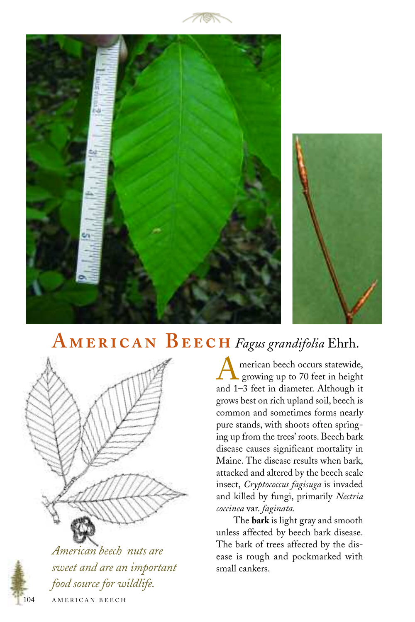





## $A$ **MERICAN**  $B$ **EECH** Fagus grandifolia Ehrh.



*American beech nuts are sweet and are an important food source for wildlife.*

merican beech occurs statewide, growing up to 70 feet in height and 1–3 feet in diameter. Although it grows best on rich upland soil, beech is common and sometimes forms nearly pure stands, with shoots often springing up from the trees' roots. Beech bark disease causes significant mortality in Maine. The disease results when bark, attacked and altered by the beech scale insect, *Cryptococcus fagisuga* is invaded and killed by fungi, primarily *Nectria coccinea* var. *faginata.*

The **bark** is light gray and smooth unless affected by beech bark disease. The bark of trees affected by the disease is rough and pockmarked with small cankers.

AMERICAN BEECH